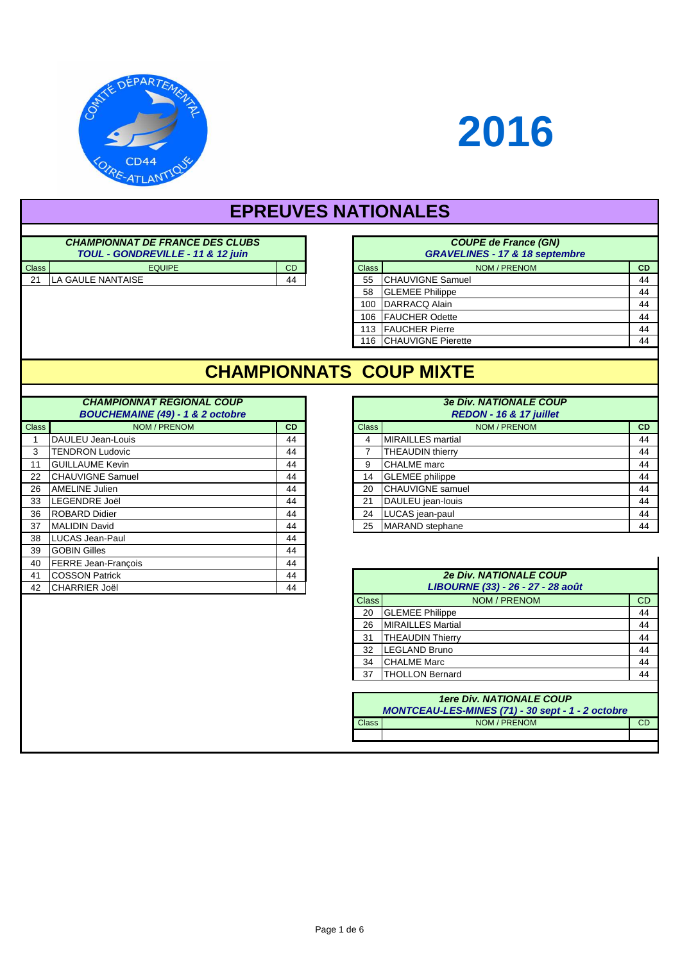

# **2016**

# **EPREUVES NATIONALES**

| <b>CHAMPIONNAT DE FRANCE DES CLUBS</b><br>TOUL - GONDREVILLE - 11 & 12 juin |                   |    |              | <b>COUPE de France (GN)</b><br><b>GRAVELINES - 17 &amp; 18 septe</b> |
|-----------------------------------------------------------------------------|-------------------|----|--------------|----------------------------------------------------------------------|
| <b>Class</b>                                                                | <b>EQUIPE</b>     | CD | <b>Class</b> | NOM / PRENOM                                                         |
| 21                                                                          | LA GAULE NANTAISE | 44 | 55           | ICHAUVIGNE Samuel                                                    |

|              | <b>CHAMPIONNAT DE FRANCE DES CLUBS</b><br>TOUL - GONDREVILLE - 11 & 12 juin |           |                                   |
|--------------|-----------------------------------------------------------------------------|-----------|-----------------------------------|
| <b>Class</b> | <b>EQUIPE</b>                                                               | <b>CD</b> | <b>Class</b>                      |
| 21           | LA GAULE NANTAISE                                                           | 44        | 55                                |
|              |                                                                             |           | 58                                |
|              |                                                                             |           | 100                               |
|              |                                                                             |           | 106                               |
|              |                                                                             |           | 113                               |
|              |                                                                             |           | <b>ICHAUVIGNE Pierette</b><br>116 |

### **CHAMPIONNATS COUP MIXTE**

#### **CHAMPIONNAT REGIONAL COUP BOUCHEMAINE (49) - 1 & 2 octobre**

| <b>Class</b> | NOM / PRENOM               | <b>CD</b> |  | <b>Class</b> | NOM / PRENOM                      |  |
|--------------|----------------------------|-----------|--|--------------|-----------------------------------|--|
|              | DAULEU Jean-Louis          | 44        |  | 4            | <b>MIRAILLES</b> martial          |  |
| 3            | <b>TENDRON Ludovic</b>     | 44        |  |              | <b>THEAUDIN thierry</b>           |  |
| 11           | <b>GUILLAUME Kevin</b>     | 44        |  | 9            | <b>CHALME</b> marc                |  |
| 22           | <b>CHAUVIGNE Samuel</b>    | 44        |  | 14           | <b>GLEMEE</b> philippe            |  |
| 26           | <b>AMELINE Julien</b>      | 44        |  | 20           | <b>CHAUVIGNE</b> samuel           |  |
| 33           | <b>ILEGENDRE Joël</b>      | 44        |  | 21           | DAULEU jean-louis                 |  |
| 36           | <b>ROBARD Didier</b>       | 44        |  | 24           | LUCAS jean-paul                   |  |
| 37           | <b>MALIDIN David</b>       | 44        |  | 25           | MARAND stephane                   |  |
| 38           | ILUCAS Jean-Paul           | 44        |  |              |                                   |  |
| 39           | <b>GOBIN Gilles</b>        | 44        |  |              |                                   |  |
| 40           | <b>FERRE Jean-François</b> | 44        |  |              |                                   |  |
| 41           | <b>COSSON Patrick</b>      | 44        |  |              | <b>2e Div. NATIONALE COUP</b>     |  |
| 42           | <b>ICHARRIER Joël</b>      | 44        |  |              | LIBOURNE (33) - 26 - 27 - 28 août |  |

|              | <b>CHAMPIONNAT REGIONAL COUP</b><br><b>BOUCHEMAINE (49) - 1 &amp; 2 octobre</b> |           |
|--------------|---------------------------------------------------------------------------------|-----------|
| <b>Class</b> | NOM / PRENOM                                                                    | <b>CD</b> |
|              | DAULEU Jean-Louis                                                               | 44        |
| 3            | <b>TENDRON Ludovic</b>                                                          | 44        |
| 11           | <b>GUILLAUME Kevin</b>                                                          | 44        |
| 22           | <b>CHAUVIGNE Samuel</b>                                                         | 44        |
| 26           | AMELINE Julien                                                                  | 44        |
| 33           | LEGENDRE Joël                                                                   | 44        |
| 36           | <b>ROBARD Didier</b>                                                            | 44        |
| 37           | <b>MALIDIN David</b>                                                            | 44        |

|              | <b>2e Div. NATIONALE COUP</b><br>LIBOURNE (33) - 26 - 27 - 28 août |    |  |  |  |
|--------------|--------------------------------------------------------------------|----|--|--|--|
| <b>Class</b> | NOM / PRENOM                                                       | CD |  |  |  |
| 20           | <b>GLEMEE Philippe</b>                                             | 44 |  |  |  |
| 26           | <b>MIRAILLES Martial</b>                                           | 44 |  |  |  |
| 31           | <b>THEAUDIN Thierry</b>                                            | 44 |  |  |  |
| 32           | <b>LEGLAND Bruno</b>                                               | 44 |  |  |  |
| 34           | <b>CHALME Marc</b>                                                 | 44 |  |  |  |
| 37           | <b>THOLLON Bernard</b>                                             | 44 |  |  |  |
|              | 1 are Div NATIONAL E COLIP                                         |    |  |  |  |

| <b>1ere Div. NATIONALE COUP</b><br>MONTCEAU-LES-MINES (71) - 30 sept - 1 - 2 octobre |              |  |  |  |
|--------------------------------------------------------------------------------------|--------------|--|--|--|
| Class                                                                                | NOM / PRENOM |  |  |  |
|                                                                                      |              |  |  |  |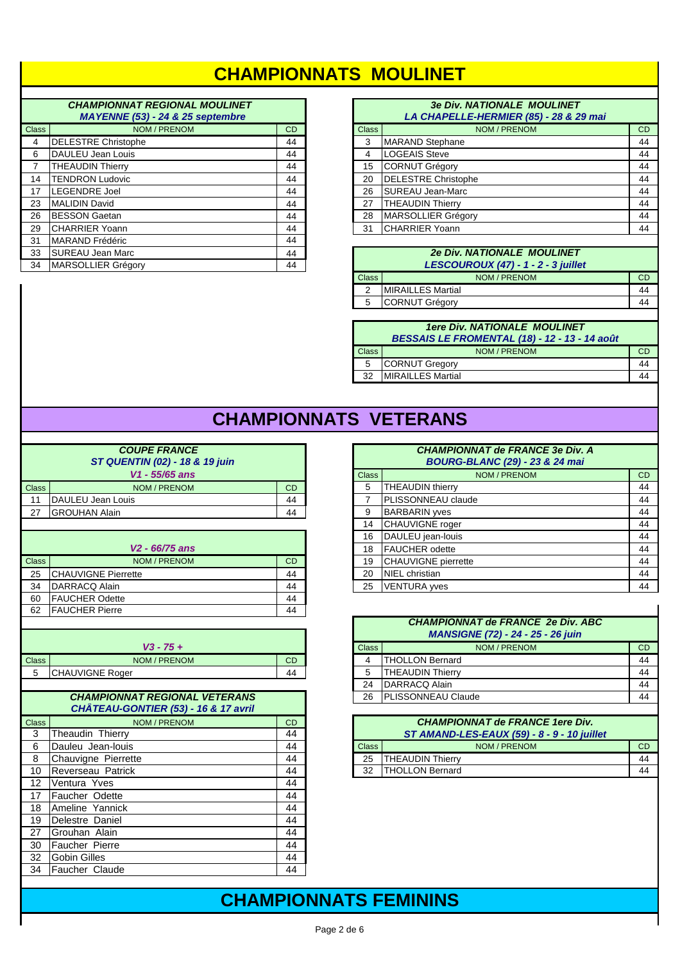#### **CHAMPIONNATS MOULINET**

#### **CHAMPIONNAT REGIONAL MOULINET MAANEAINE**

|                | <b>IVIA TEINNE (33) - 24 &amp; 23 Septembre</b> |           |  |  |
|----------------|-------------------------------------------------|-----------|--|--|
| <b>Class</b>   | NOM / PRENOM                                    | <b>CD</b> |  |  |
| 4              | <b>DELESTRE Christophe</b>                      | 44        |  |  |
| 6              | DAULEU Jean Louis                               | 44        |  |  |
| $\overline{7}$ | <b>THEAUDIN Thierry</b>                         | 44        |  |  |
| 14             | <b>TENDRON Ludovic</b>                          | 44        |  |  |
| 17             | <b>LEGENDRE Joel</b>                            | 44        |  |  |
| 23             | <b>MALIDIN David</b>                            | 44        |  |  |
| 26             | <b>BESSON Gaetan</b>                            | 44        |  |  |
| 29             | <b>CHARRIER Yoann</b>                           | 44        |  |  |
| 31             | <b>MARAND Frédéric</b>                          | 44        |  |  |
| 33             | <b>SUREAU Jean Marc</b>                         | 44        |  |  |
| 34             | <b>MARSOLLIER Grégory</b>                       | 44        |  |  |

#### **3e Div. NATIONALE MOULINET** LA CHAPELLE-HERMIER (85) - 28 & 29 mai

|              | $\cdots$                   |           |
|--------------|----------------------------|-----------|
| <b>Class</b> | NOM / PRENOM               | <b>CD</b> |
| 3            | <b>MARAND Stephane</b>     | 44        |
| 4            | <b>LOGEAIS Steve</b>       | 44        |
| 15           | <b>CORNUT Grégory</b>      | 44        |
| 20           | <b>DELESTRE Christophe</b> | 44        |
| 26           | <b>SUREAU Jean-Marc</b>    | 44        |
| 27           | <b>THEAUDIN Thierry</b>    | 44        |
| 28           | MARSOLLIER Grégory         | 44        |
| 31           | <b>CHARRIER Yoann</b>      | 44        |
|              |                            |           |

#### **2e Div. NATIONALE MOULINET** LESCOUROUX (47) - 1 - 2 - 3 juillet NOM / PRENOM  $CD$ Class **MIRAILLES Martial**  $\overline{2}$ 44 44  $\,$  5  $\,$ **CORNUT Grégory**

#### **1ere Div. NATIONALE MOULINET** BESSAIS LE FROMENTAL (18) - 12 - 13 - 14 août NOM / PRENOM Class  $CD$ **CORNUT Gregory** 44  $\sqrt{5}$ 32 MIRAILLES Martial 44

# **CHAMPIONNATS VETERANS**

|              | <b>COUPE FRANCE</b><br>ST QUENTIN (02) - 18 & 19 juin<br>V1 - 55/65 ans      |           |  |  |  |
|--------------|------------------------------------------------------------------------------|-----------|--|--|--|
| Class        | NOM / PRENOM                                                                 | CD        |  |  |  |
| 11           | DAULEU Jean Louis                                                            | 44        |  |  |  |
| 27           | <b>GROUHAN Alain</b>                                                         | 44        |  |  |  |
|              |                                                                              |           |  |  |  |
|              | V2 - 66/75 ans                                                               |           |  |  |  |
| <b>Class</b> | NOM / PRENOM                                                                 | <b>CD</b> |  |  |  |
| 25           | <b>CHAUVIGNE Pierrette</b>                                                   | 44        |  |  |  |
| 34           | DARRACQ Alain                                                                | 44        |  |  |  |
| 60           | <b>FAUCHER Odette</b>                                                        | 44        |  |  |  |
| 62           | <b>FAUCHER Pierre</b>                                                        | 44        |  |  |  |
| <b>Class</b> | $V3 - 75 +$<br>NOM / PRENOM                                                  | <b>CD</b> |  |  |  |
| 5            | CHAUVIGNE Roger                                                              | 44        |  |  |  |
|              |                                                                              |           |  |  |  |
|              | <b>CHAMPIONNAT REGIONAL VETERANS</b><br>CHÂTEAU-GONTIER (53) - 16 & 17 avril |           |  |  |  |
| <b>Class</b> | NOM / PRENOM                                                                 | CD        |  |  |  |
| 3            | Theaudin Thierry                                                             | 44        |  |  |  |
| 6            | Dauleu Jean-louis                                                            | 44        |  |  |  |
| 8            | Chauvigne Pierrette                                                          | 44        |  |  |  |
| 10           | Reverseau Patrick                                                            | 44        |  |  |  |
| 12           | Ventura Yves                                                                 | 44        |  |  |  |
| 17           | Faucher Odette                                                               | 44        |  |  |  |
| 18           | Ameline Yannick                                                              | 44        |  |  |  |
| 19           | Delestre Daniel                                                              | 44        |  |  |  |
| 27           | Grouhan Alain                                                                | 44        |  |  |  |
| 30           | <b>Faucher Pierre</b>                                                        | 44        |  |  |  |
| 32           | <b>Gobin Gilles</b>                                                          | 44<br>44  |  |  |  |
| 34           | <b>Faucher Claude</b>                                                        |           |  |  |  |

| <b>CHAMPIONNAT de FRANCE 3e Div. A</b><br><b>BOURG-BLANC (29) - 23 &amp; 24 mai</b> |                            |           |  |  |
|-------------------------------------------------------------------------------------|----------------------------|-----------|--|--|
| <b>Class</b>                                                                        | NOM / PRENOM               | <b>CD</b> |  |  |
| 5                                                                                   | <b>THEAUDIN thierry</b>    | 44        |  |  |
| $\overline{7}$                                                                      | PLISSONNEAU claude         | 44        |  |  |
| 9                                                                                   | <b>BARBARIN</b> yves       | 44        |  |  |
| 14                                                                                  | <b>CHAUVIGNE</b> roger     | 44        |  |  |
| 16                                                                                  | DAULEU jean-louis          | 44        |  |  |
| 18                                                                                  | <b>FAUCHER</b> odette      | 44        |  |  |
| 19                                                                                  | <b>CHAUVIGNE</b> pierrette | 44        |  |  |
| 20                                                                                  | NIEL christian             | 44        |  |  |
| 25                                                                                  | <b>VENTURA</b> wes         | 44        |  |  |

|              | <b>CHAMPIONNAT de FRANCE 2e Div. ABC</b><br><b>MANSIGNE (72) - 24 - 25 - 26 juin</b> |    |  |  |  |
|--------------|--------------------------------------------------------------------------------------|----|--|--|--|
| <b>Class</b> | NOM / PRENOM                                                                         |    |  |  |  |
| 4            | <b>THOLLON Bernard</b>                                                               | 44 |  |  |  |
| 5            | <b>THEAUDIN Thierry</b>                                                              | 44 |  |  |  |
| 24           | DARRACQ Alain                                                                        | 44 |  |  |  |
| 26           | PLISSONNEAU Claude                                                                   |    |  |  |  |

 $\mathbf{I}$ 

| <b>CHAMPIONNAT de FRANCE 1ere Div.</b><br>ST AMAND-LES-EAUX (59) - 8 - 9 - 10 juillet |                         |    |  |  |
|---------------------------------------------------------------------------------------|-------------------------|----|--|--|
| Class                                                                                 | NOM / PRENOM            | СD |  |  |
| 25                                                                                    | <b>THEAUDIN Thierry</b> |    |  |  |
| 32                                                                                    | <b>THOLLON Bernard</b>  |    |  |  |

### **CHAMPIONNATS FEMININS**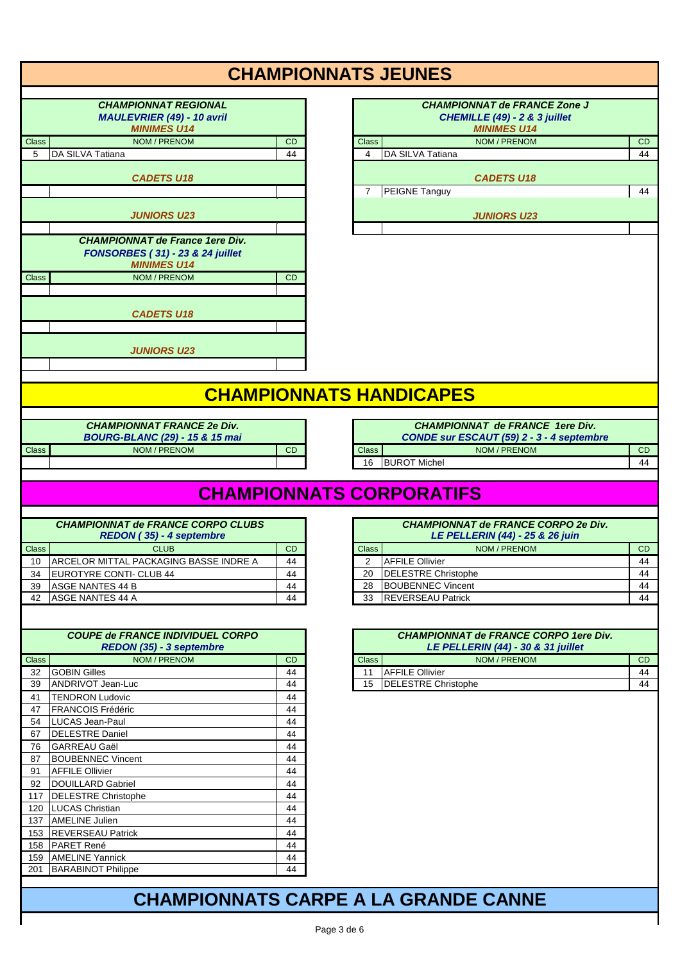|                    |                                                                                                  |                 | <b>CHAMPIONNATS JEUNES</b>                                           |
|--------------------|--------------------------------------------------------------------------------------------------|-----------------|----------------------------------------------------------------------|
|                    | <b>CHAMPIONNAT REGIONAL</b><br>MAULEVRIER (49) - 10 avril                                        |                 | <b>CHAMPIONNAT de FRANCE Zone J</b><br>CHEMILLE (49) - 2 & 3 juillet |
|                    | <b>MINIMES U14</b>                                                                               |                 | <b>MINIMES U14</b>                                                   |
| <b>Class</b>       | NOM / PRENOM                                                                                     | <b>CD</b>       | NOM / PRENOM<br><b>Class</b><br>CD                                   |
| 5                  | DA SILVA Tatiana                                                                                 | 44              | DA SILVA Tatiana<br>4<br>44                                          |
|                    |                                                                                                  |                 |                                                                      |
|                    | <b>CADETS U18</b>                                                                                |                 | <b>CADETS U18</b>                                                    |
|                    |                                                                                                  |                 | PEIGNE Tanguy<br>44<br>$\overline{7}$                                |
|                    |                                                                                                  |                 |                                                                      |
|                    | <b>JUNIORS U23</b>                                                                               |                 | <b>JUNIORS U23</b>                                                   |
|                    | <b>CHAMPIONNAT de France 1ere Div.</b><br>FONSORBES (31) - 23 & 24 juillet<br><b>MINIMES U14</b> |                 |                                                                      |
| <b>Class</b>       | NOM / PRENOM                                                                                     | <b>CD</b>       |                                                                      |
|                    |                                                                                                  |                 |                                                                      |
|                    | <b>CADETS U18</b>                                                                                |                 |                                                                      |
|                    |                                                                                                  |                 |                                                                      |
|                    | <b>JUNIORS U23</b>                                                                               |                 |                                                                      |
|                    |                                                                                                  |                 |                                                                      |
|                    |                                                                                                  |                 |                                                                      |
|                    |                                                                                                  |                 | <b>CHAMPIONNATS HANDICAPES</b>                                       |
|                    |                                                                                                  |                 |                                                                      |
|                    | <b>CHAMPIONNAT FRANCE 2e Div.</b>                                                                |                 | <b>CHAMPIONNAT de FRANCE 1ere Div.</b>                               |
|                    | <b>BOURG-BLANC (29) - 15 &amp; 15 mai</b>                                                        |                 | CONDE sur ESCAUT (59) 2 - 3 - 4 septembre                            |
| Class              | NOM / PRENOM                                                                                     | CD              | NOM / PRENOM<br><b>CD</b><br><b>Class</b>                            |
|                    |                                                                                                  |                 | <b>BUROT Michel</b><br>44<br>16                                      |
|                    |                                                                                                  |                 |                                                                      |
|                    |                                                                                                  |                 | <b>CHAMPIONNATS CORPORATIFS</b>                                      |
|                    |                                                                                                  |                 |                                                                      |
|                    | <b>CHAMPIONNAT de FRANCE CORPO CLUBS</b>                                                         |                 | <b>CHAMPIONNAT de FRANCE CORPO 2e Div.</b>                           |
|                    | REDON (35) - 4 septembre                                                                         |                 | LE PELLERIN (44) - 25 & 26 juin                                      |
|                    |                                                                                                  |                 |                                                                      |
|                    | <b>CLUB</b>                                                                                      |                 |                                                                      |
| <b>Class</b><br>10 |                                                                                                  | <b>CD</b><br>44 | NOM / PRENOM<br><b>CD</b><br><b>Class</b><br>44<br>2                 |
| 34                 | ARCELOR MITTAL PACKAGING BASSE INDRE A                                                           | 44              | <b>AFFILE Ollivier</b><br>44<br>20                                   |
| 39                 | EUROTYRE CONTI- CLUB 44<br>ASGE NANTES 44 B                                                      | 44              | <b>DELESTRE Christophe</b><br><b>BOUBENNEC Vincent</b><br>44<br>28   |
| 42                 | ASGE NANTES 44 A                                                                                 | 44              | <b>REVERSEAU Patrick</b><br>44<br>33                                 |
|                    |                                                                                                  |                 |                                                                      |
|                    |                                                                                                  |                 |                                                                      |
|                    | <b>COUPE de FRANCE INDIVIDUEL CORPO</b>                                                          |                 | <b>CHAMPIONNAT de FRANCE CORPO 1ere Div.</b>                         |
|                    | REDON (35) - 3 septembre                                                                         |                 | LE PELLERIN (44) - 30 & 31 juillet                                   |
| <b>Class</b>       | NOM / PRENOM                                                                                     | <b>CD</b>       | NOM / PRENOM<br><b>Class</b><br>CD                                   |
| 32                 | <b>GOBIN Gilles</b>                                                                              | 44              | <b>AFFILE Ollivier</b><br>44<br>11                                   |
| 39                 | ANDRIVOT Jean-Luc                                                                                | 44              | <b>DELESTRE Christophe</b><br>44<br>15                               |
| 41                 | <b>TENDRON Ludovic</b>                                                                           | 44              |                                                                      |
| 47                 | <b>FRANCOIS Frédéric</b>                                                                         | 44              |                                                                      |
| 54                 | LUCAS Jean-Paul                                                                                  | 44              |                                                                      |
| 67                 | <b>DELESTRE Daniel</b>                                                                           | 44              |                                                                      |
| 76                 | <b>GARREAU Gaël</b>                                                                              | 44              |                                                                      |
| 87                 | <b>BOUBENNEC Vincent</b>                                                                         | 44              |                                                                      |
| 91                 | <b>AFFILE Ollivier</b>                                                                           | 44              |                                                                      |
| 92                 | DOUILLARD Gabriel                                                                                | 44              |                                                                      |
| 117                | <b>DELESTRE Christophe</b>                                                                       | 44              |                                                                      |
|                    | 120   LUCAS Christian                                                                            | 44              |                                                                      |
|                    | 137 AMELINE Julien                                                                               | 44              |                                                                      |
|                    | 153 REVERSEAU Patrick                                                                            | 44              |                                                                      |
|                    | 158 PARET René<br>159 AMELINE Yannick                                                            | 44<br>44        |                                                                      |

#### Page 3 de 6

**CHAMPIONNATS CARPE A LA GRANDE CANNE**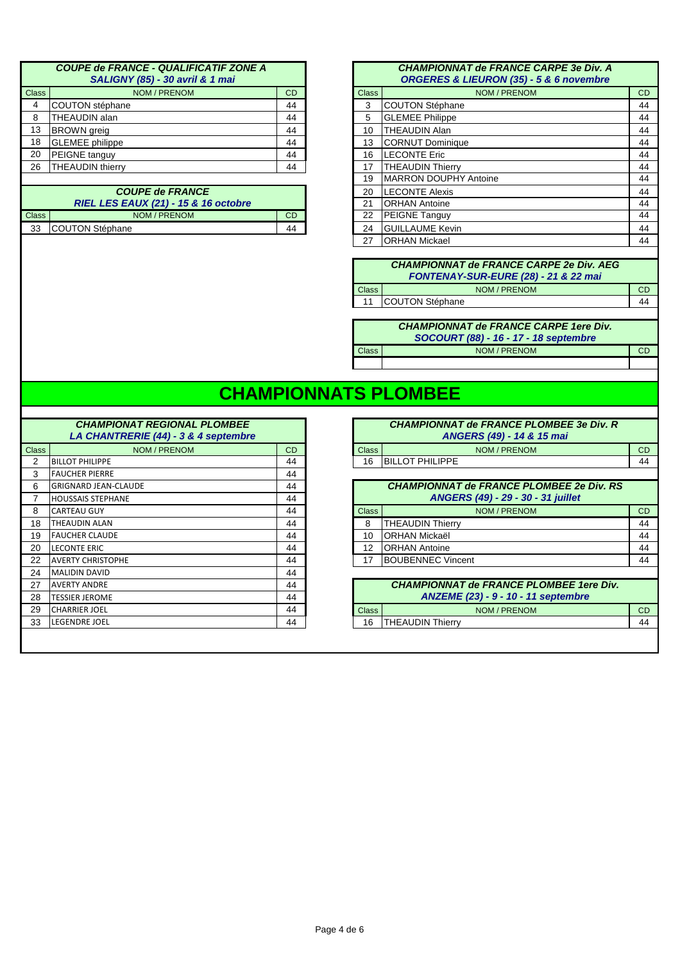|              | <b>COUPE de FRANCE - QUALIFICATIF ZONE A</b><br><b>SALIGNY (85) - 30 avril &amp; 1 mai</b> |    |
|--------------|--------------------------------------------------------------------------------------------|----|
| <b>Class</b> | NOM / PRENOM                                                                               | CD |
|              | COUTON stéphane                                                                            | 44 |
| 8            | <b>THEAUDIN alan</b>                                                                       | 44 |
| 13           | <b>BROWN</b> greig                                                                         | 44 |
| 18           | <b>GLEMEE</b> philippe                                                                     | 44 |
| 20           | <b>PEIGNE</b> tanguy                                                                       | 44 |
| 26           | <b>THEAUDIN thierry</b>                                                                    | 44 |
|              |                                                                                            |    |

|              | <b>COUPE de FRANCE</b><br><b>RIEL LES EAUX (21) - 15 &amp; 16 octobre</b> |  |
|--------------|---------------------------------------------------------------------------|--|
| <b>Class</b> | NOM / PRENOM                                                              |  |
|              | 33 COUTON Stéphane                                                        |  |

| <b>Class</b> | NOM / PRENOM                                    | <b>CD</b> | <b>Class</b> | NOM / PRENOM                 | CD |
|--------------|-------------------------------------------------|-----------|--------------|------------------------------|----|
| 4            | COUTON stéphane                                 | 44        | 3            | <b>COUTON Stéphane</b>       | 44 |
| 8            | THEAUDIN alan                                   | 44        | 5            | <b>GLEMEE Philippe</b>       | 44 |
| 13           | <b>BROWN</b> greig                              | 44        | 10           | <b>THEAUDIN Alan</b>         | 44 |
| 18           | <b>GLEMEE</b> philippe                          | 44        | 13           | <b>CORNUT Dominique</b>      | 44 |
| 20           | PEIGNE tanguy                                   | 44        | 16           | <b>LECONTE Eric</b>          | 44 |
| 26           | <b>THEAUDIN thierry</b>                         | 44        | 17           | <b>THEAUDIN Thierry</b>      | 44 |
|              |                                                 |           | 19           | <b>MARRON DOUPHY Antoine</b> | 44 |
|              | <b>COUPE de FRANCE</b>                          |           | 20           | <b>LECONTE Alexis</b>        | 44 |
|              | <b>RIEL LES EAUX (21) - 15 &amp; 16 octobre</b> |           | 21           | <b>ORHAN Antoine</b>         | 44 |
| Class        | NOM / PRENOM                                    | <b>CD</b> | 22           | PEIGNE Tanguy                | 44 |
| 33           | COUTON Stéphane                                 | 44        | 24           | <b>GUILLAUME Kevin</b>       | 44 |
|              |                                                 |           | 27           | <b>ORHAN Mickael</b>         | 44 |

|              | <b>CHAMPIONNAT de FRANCE CARPE 2e Div. AEG</b><br>FONTENAY-SUR-EURE (28) - 21 & 22 mai |  |
|--------------|----------------------------------------------------------------------------------------|--|
| <b>Class</b> | NOM / PRENOM                                                                           |  |
|              | COUTON Stéphane                                                                        |  |
|              |                                                                                        |  |

|              | <b>CHAMPIONNAT de FRANCE CARPE 1ere Div.</b><br>SOCOURT (88) - 16 - 17 - 18 septembre |  |
|--------------|---------------------------------------------------------------------------------------|--|
| <b>Class</b> | NOM / PRENOM                                                                          |  |
|              |                                                                                       |  |

# **CHAMPIONNATS PLOMBEE**

|              | <b>CHAMPIONAT REGIONAL PLOMBEE</b><br>LA CHANTRERIE (44) - 3 & 4 septembre |    |              | <b>CHAMPIONNAT de FRANCE PLOMBEE 3e Div. R</b><br>ANGERS (49) - 14 & 15 mai |
|--------------|----------------------------------------------------------------------------|----|--------------|-----------------------------------------------------------------------------|
| <b>Class</b> | NOM / PRENOM                                                               | CD | <b>Class</b> | NOM / PRENOM                                                                |
| 2            | <b>BILLOT PHILIPPE</b>                                                     | 44 | 16           | <b>BILLOT PHILIPPE</b>                                                      |
| 3            | <b>FAUCHER PIERRE</b>                                                      | 44 |              |                                                                             |
| 6            | <b>GRIGNARD JEAN-CLAUDE</b>                                                | 44 |              | <b>CHAMPIONNAT de FRANCE PLOMBEE 2e Div. RS</b>                             |
|              | <b>HOUSSAIS STEPHANE</b>                                                   | 44 |              | ANGERS (49) - 29 - 30 - 31 juillet                                          |
| 8            | <b>CARTEAU GUY</b>                                                         | 44 | <b>Class</b> | NOM / PRENOM                                                                |
| 18           | <b>THEAUDIN ALAN</b>                                                       | 44 | 8            | <b>THEAUDIN Thierry</b>                                                     |
| 19           | <b>FAUCHER CLAUDE</b>                                                      | 44 | 10           | IORHAN Mickaël                                                              |
| 20           | <b>LECONTE ERIC</b>                                                        | 44 | 12           | <b>IORHAN Antoine</b>                                                       |
| 22           | <b>AVERTY CHRISTOPHE</b>                                                   | 44 | 17           | <b>BOUBENNEC Vincent</b>                                                    |
| 24           | <b>MALIDIN DAVID</b>                                                       | 44 |              |                                                                             |
| 27           | <b>AVERTY ANDRE</b>                                                        | 44 |              | <b>CHAMPIONNAT de FRANCE PLOMBEE 1ere Div.</b>                              |
| 28           | <b>TESSIER JEROME</b>                                                      | 44 |              | ANZEME (23) - 9 - 10 - 11 septembre                                         |
| 29           | <b>CHARRIER JOEL</b>                                                       | 44 | <b>Class</b> | NOM / PRENOM                                                                |
| 33           | LEGENDRE JOEL                                                              | 44 | 16           | <b>THEAUDIN Thierry</b>                                                     |
|              |                                                                            |    |              |                                                                             |

|              | <b>CHAMPIONAT REGIONAL PLOMBEE</b><br>LA CHANTRERIE (44) - 3 & 4 septembre |           |              | <b>CHAMPIONNAT de FRANCE PLOMBEE 3e Div. R</b><br>ANGERS (49) - 14 & 15 mai |
|--------------|----------------------------------------------------------------------------|-----------|--------------|-----------------------------------------------------------------------------|
| <b>Class</b> | NOM / PRENOM                                                               | <b>CD</b> | <b>Class</b> | NOM / PRENOM                                                                |
| 2            | <b>BILLOT PHILIPPE</b>                                                     | 44        | 16           | <b>BILLOT PHILIPPE</b>                                                      |
| 3            | <b>FAUCHER PIERRE</b>                                                      | 44        |              |                                                                             |
| 6            | <b>GRIGNARD JEAN-CLAUDE</b>                                                | 44        |              | <b>CHAMPIONNAT de FRANCE PLOMBEE 2e Div. RS</b>                             |
|              | <b>HOUSSAIS STEPHANE</b>                                                   | 44        |              | ANGERS (49) - 29 - 30 - 31 juillet                                          |
|              |                                                                            |           |              |                                                                             |

|    | ורזונו וואו של כור <i>ז כ</i> כס | ᅮ         |              | $T1199$ $T1977$ av vv vinner |    |
|----|----------------------------------|-----------|--------------|------------------------------|----|
| 8  | <b>CARTEAU GUY</b>               | 44        | <b>Class</b> | NOM / PRENOM                 | CD |
| 18 | <b>ITHEAUDIN ALAN</b>            | 44        |              | <b>THEAUDIN Thierry</b>      | 44 |
| 19 | <b>FAUCHER CLAUDE</b>            | 44        | 10           | <b>IORHAN Mickaël</b>        | 44 |
| 20 | <b>LECONTE ERIC</b>              | 44        | 12           | <b>IORHAN Antoine</b>        | 44 |
| 22 | <b>AVERTY CHRISTOPHE</b>         | 44        | 47           | <b>BOUBENNEC Vincent</b>     | 44 |
|    | $24$ MALIDIN DAVID               | $\Lambda$ |              |                              |    |

| - ' |                       |    |              |                                                |           |
|-----|-----------------------|----|--------------|------------------------------------------------|-----------|
| 27  | <b>LAVERTY ANDRE</b>  | 44 |              | <b>CHAMPIONNAT de FRANCE PLOMBEE 1ere Div.</b> |           |
| 28  | <b>TESSIER JEROME</b> | 44 |              | <b>ANZEME (23) - 9 - 10 - 11 septembre</b>     |           |
| 29  | <b>CHARRIER JOEL</b>  | 44 | <b>Class</b> | NOM / PRENOM                                   | <b>CD</b> |
| 33  | <b>LEGENDRE JOEL</b>  | 44 | 16           | <b>ITHEAUDIN Thierry</b>                       | 44        |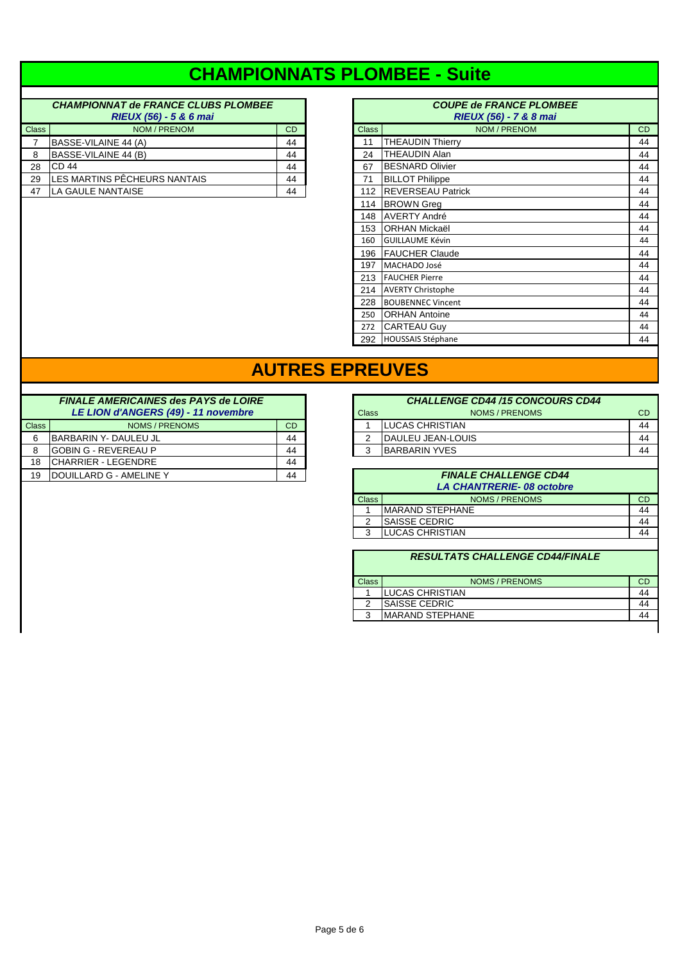# **CHAMPIONNATS PLOMBEE - Suite**

#### **CHAMPIONNAT de FRANCE CLUBS PLOMBEE RIEUX (56) - 5 & 6 mai RIEUX (56) - 7 & 8 mai** Class **NOM / PRENOM** CD  $7$  BASSE-VILAINE 44 (A) 44 8 BASSE-VILAINE  $44$  (B) 44 29 LES MARTINS PÊCHEURS NANTAIS 44 47 LA GAULE NANTAISE 44

|                | <b>CHAMPIONNAT de FRANCE CLUBS PLOMBEE</b><br>RIEUX (56) - 5 & 6 mai |           |              | <b>COUPE de FRANCE PLOMBEE</b><br>RIEUX (56) - 7 & 8 mai |    |
|----------------|----------------------------------------------------------------------|-----------|--------------|----------------------------------------------------------|----|
| lass           | NOM / PRENOM                                                         | <b>CD</b> | <b>Class</b> | NOM / PRENOM                                             | CD |
| $\overline{7}$ | BASSE-VILAINE 44 (A)                                                 | 44        | 11           | <b>THEAUDIN Thierry</b>                                  | 44 |
| 8              | BASSE-VILAINE 44 (B)                                                 | 44        | 24           | THEAUDIN Alan                                            | 44 |
| 28             | CD <sub>44</sub>                                                     | 44        | 67           | <b>BESNARD Olivier</b>                                   | 44 |
| 29             | LES MARTINS PÊCHEURS NANTAIS                                         | 44        | 71           | <b>BILLOT Philippe</b>                                   | 44 |
| 47             | LA GAULE NANTAISE                                                    | 44        | 112          | <b>REVERSEAU Patrick</b>                                 | 44 |
|                |                                                                      |           | 114          | <b>BROWN</b> Grea                                        | 44 |
|                |                                                                      |           | 148          | <b>AVERTY André</b>                                      | 44 |
|                |                                                                      |           | 153          | <b>ORHAN Mickaël</b>                                     | 44 |
|                |                                                                      |           | 160          | <b>GUILLAUME Kévin</b>                                   | 44 |
|                |                                                                      |           | 196          | <b>FAUCHER Claude</b>                                    | 44 |
|                |                                                                      |           | 197          | MACHADO José                                             | 44 |
|                |                                                                      |           | 213          | <b>FAUCHER Pierre</b>                                    | 44 |
|                |                                                                      |           | 214          | <b>AVERTY Christophe</b>                                 | 44 |
|                |                                                                      |           | 228          | <b>BOUBENNEC Vincent</b>                                 | 44 |
|                |                                                                      |           | 250          | <b>ORHAN Antoine</b>                                     | 44 |
|                |                                                                      |           | 272          | <b>CARTEAU Guy</b>                                       | 44 |
|                |                                                                      |           |              | 292 HOUSSAIS Stéphane                                    | 44 |

### **AUTRES EPREUVES**

|              | <b>FINALE AMERICAINES des PAYS de LOIRE</b><br>LE LION d'ANGERS (49) - 11 novembre |    |
|--------------|------------------------------------------------------------------------------------|----|
| <b>Class</b> | NOMS / PRENOMS                                                                     | CD |
| 6            | BARBARIN Y- DAULEU JL                                                              | 44 |
|              | <b>IGOBIN G - REVEREAU P</b>                                                       | 44 |
| 18           | CHARRIER - LEGENDRE                                                                | 44 |
| 19           | IDOUILLARD G - AMELINE Y                                                           | 44 |
|              |                                                                                    |    |

|              | <b>FINALE AMERICAINES des PAYS de LOIRE</b> |           |              | <b>CHALLENGE CD44 /15 CONCOURS CD44</b> |           |
|--------------|---------------------------------------------|-----------|--------------|-----------------------------------------|-----------|
|              | LE LION d'ANGERS (49) - 11 novembre         |           | Class        | NOMS / PRENOMS                          | <b>CD</b> |
| <b>Class</b> | NOMS / PRENOMS                              | <b>CD</b> |              | <b>ILUCAS CHRISTIAN</b>                 | 44        |
| 6            | IBARBARIN Y- DAULEU JL                      | 44        | 2            | <b>IDAULEU JEAN-LOUIS</b>               | 44        |
| 8            | lGOBIN G - REVEREAU P                       | 44        | 3            | <b>BARBARIN YVES</b>                    | 44        |
| 18           | CHARRIER - LEGENDRE                         | 44        |              |                                         |           |
|              |                                             |           |              |                                         |           |
| 19           | IDOUILLARD G - AMELINE Y                    | 44        |              | <b>FINALE CHALLENGE CD44</b>            |           |
|              |                                             |           |              | <b>LA CHANTRERIE-08 octobre</b>         |           |
|              |                                             |           | <b>Class</b> | NOMS / PRENOMS                          | <b>CD</b> |
|              |                                             |           |              | <b>MARAND STEPHANE</b>                  | 44        |
|              |                                             |           | 2            | <b>ISAISSE CEDRIC</b>                   | 44        |

| <b>RESULTATS CHALLENGE CD44/FINALE</b> |                        |    |  |  |  |  |
|----------------------------------------|------------------------|----|--|--|--|--|
|                                        |                        |    |  |  |  |  |
| <b>Class</b>                           | NOMS / PRENOMS         | CD |  |  |  |  |
|                                        | LUCAS CHRISTIAN        |    |  |  |  |  |
| 2                                      | <b>SAISSE CEDRIC</b>   |    |  |  |  |  |
| 3                                      | <b>MARAND STEPHANE</b> |    |  |  |  |  |